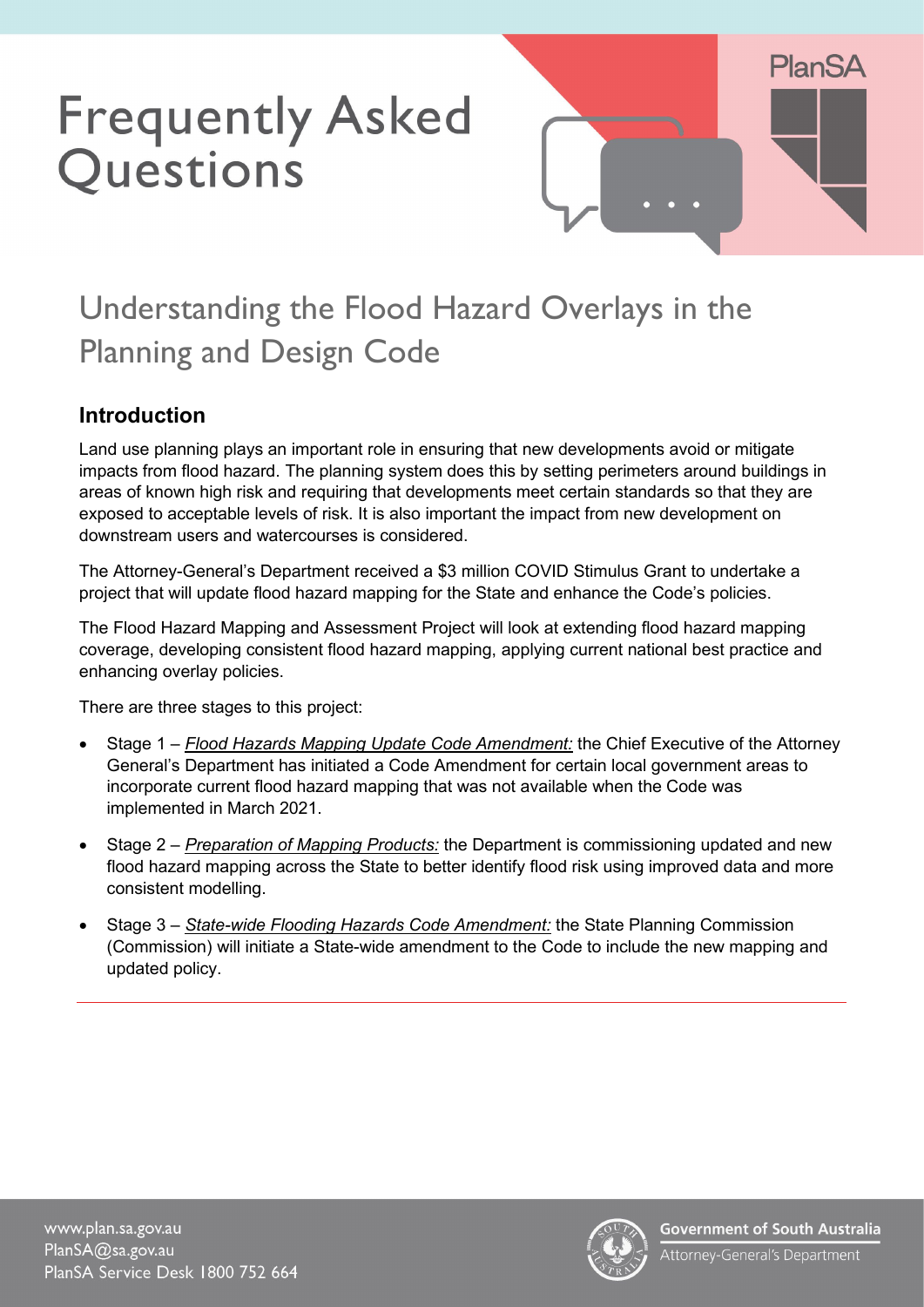# **Frequently Asked** Questions



# Understanding the Flood Hazard Overlays in the Planning and Design Code

# **Introduction**

Land use planning plays an important role in ensuring that new developments avoid or mitigate impacts from flood hazard. The planning system does this by setting perimeters around buildings in areas of known high risk and requiring that developments meet certain standards so that they are exposed to acceptable levels of risk. It is also important the impact from new development on downstream users and watercourses is considered.

The Attorney-General's Department received a \$3 million COVID Stimulus Grant to undertake a project that will update flood hazard mapping for the State and enhance the Code's policies.

The Flood Hazard Mapping and Assessment Project will look at extending flood hazard mapping coverage, developing consistent flood hazard mapping, applying current national best practice and enhancing overlay policies.

There are three stages to this project:

- Stage 1 *Flood Hazards Mapping Update Code Amendment:* the Chief Executive of the Attorney General's Department has initiated a Code Amendment for certain local government areas to incorporate current flood hazard mapping that was not available when the Code was implemented in March 2021.
- Stage 2 *Preparation of Mapping Products:* the Department is commissioning updated and new flood hazard mapping across the State to better identify flood risk using improved data and more consistent modelling.
- Stage 3 *State-wide Flooding Hazards Code Amendment:* the State Planning Commission (Commission) will initiate a State-wide amendment to the Code to include the new mapping and updated policy.

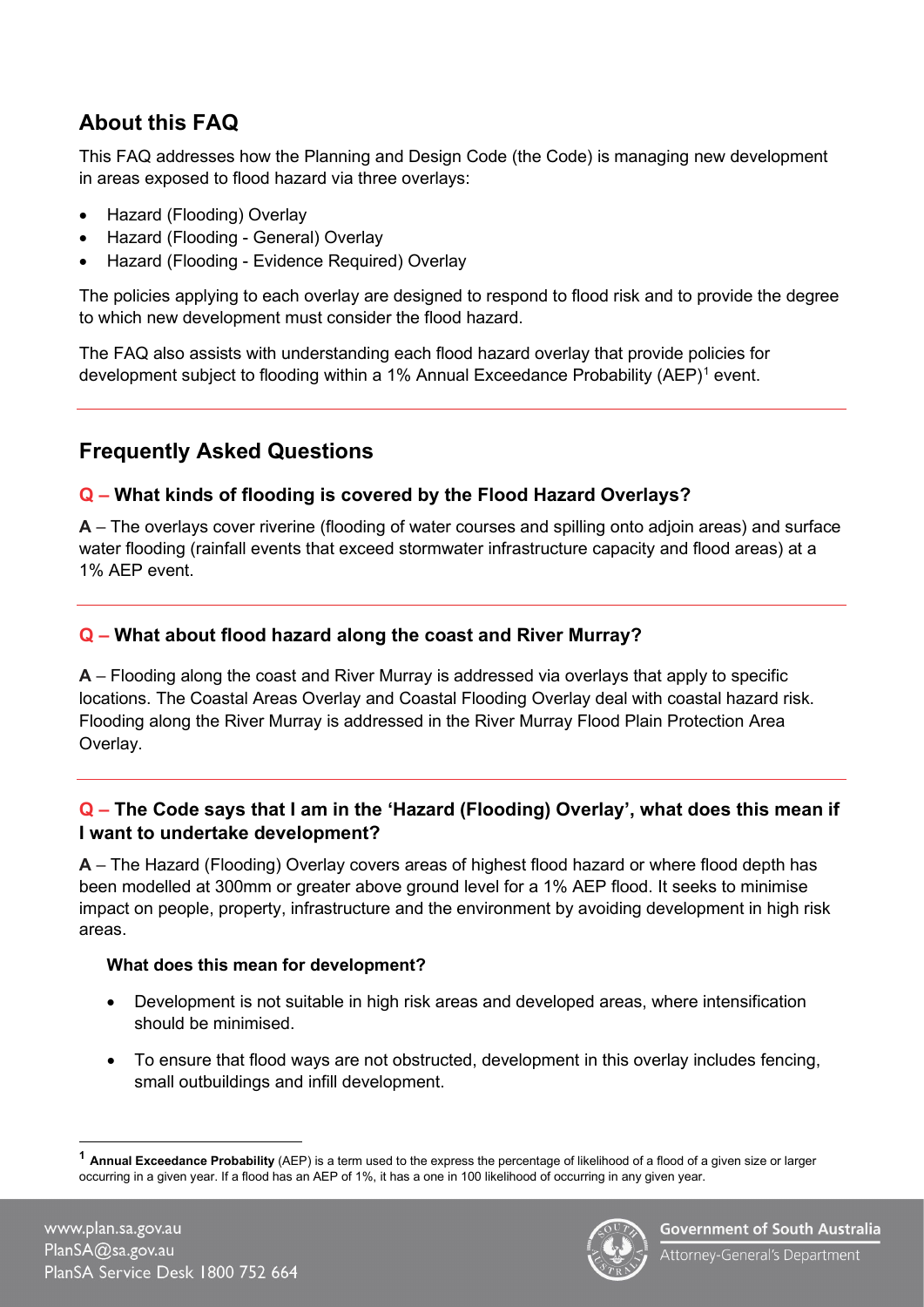# **About this FAQ**

This FAQ addresses how the Planning and Design Code (the Code) is managing new development in areas exposed to flood hazard via three overlays:

- Hazard (Flooding) Overlay
- Hazard (Flooding General) Overlay
- Hazard (Flooding Evidence Required) Overlay

The policies applying to each overlay are designed to respond to flood risk and to provide the degree to which new development must consider the flood hazard.

The FAQ also assists with understanding each flood hazard overlay that provide policies for development subject to flooding within a 1% Annual Exceedance Probability (AEP)[1](#page-1-0) event.

### **Frequently Asked Questions**

#### **Q – What kinds of flooding is covered by the Flood Hazard Overlays?**

**A** – The overlays cover riverine (flooding of water courses and spilling onto adjoin areas) and surface water flooding (rainfall events that exceed stormwater infrastructure capacity and flood areas) at a 1% AEP event.

#### **Q – What about flood hazard along the coast and River Murray?**

**A** – Flooding along the coast and River Murray is addressed via overlays that apply to specific locations. The Coastal Areas Overlay and Coastal Flooding Overlay deal with coastal hazard risk. Flooding along the River Murray is addressed in the River Murray Flood Plain Protection Area Overlay.

#### **Q – The Code says that I am in the 'Hazard (Flooding) Overlay', what does this mean if I want to undertake development?**

**A** – The Hazard (Flooding) Overlay covers areas of highest flood hazard or where flood depth has been modelled at 300mm or greater above ground level for a 1% AEP flood. It seeks to minimise impact on people, property, infrastructure and the environment by avoiding development in high risk areas.

#### **What does this mean for development?**

- Development is not suitable in high risk areas and developed areas, where intensification should be minimised.
- To ensure that flood ways are not obstructed, development in this overlay includes fencing, small outbuildings and infill development.



<span id="page-1-0"></span>**<sup>1</sup> Annual Exceedance Probability** (AEP) is a term used to the express the percentage of likelihood of a flood of a given size or larger occurring in a given year. If a flood has an AEP of 1%, it has a one in 100 likelihood of occurring in any given year.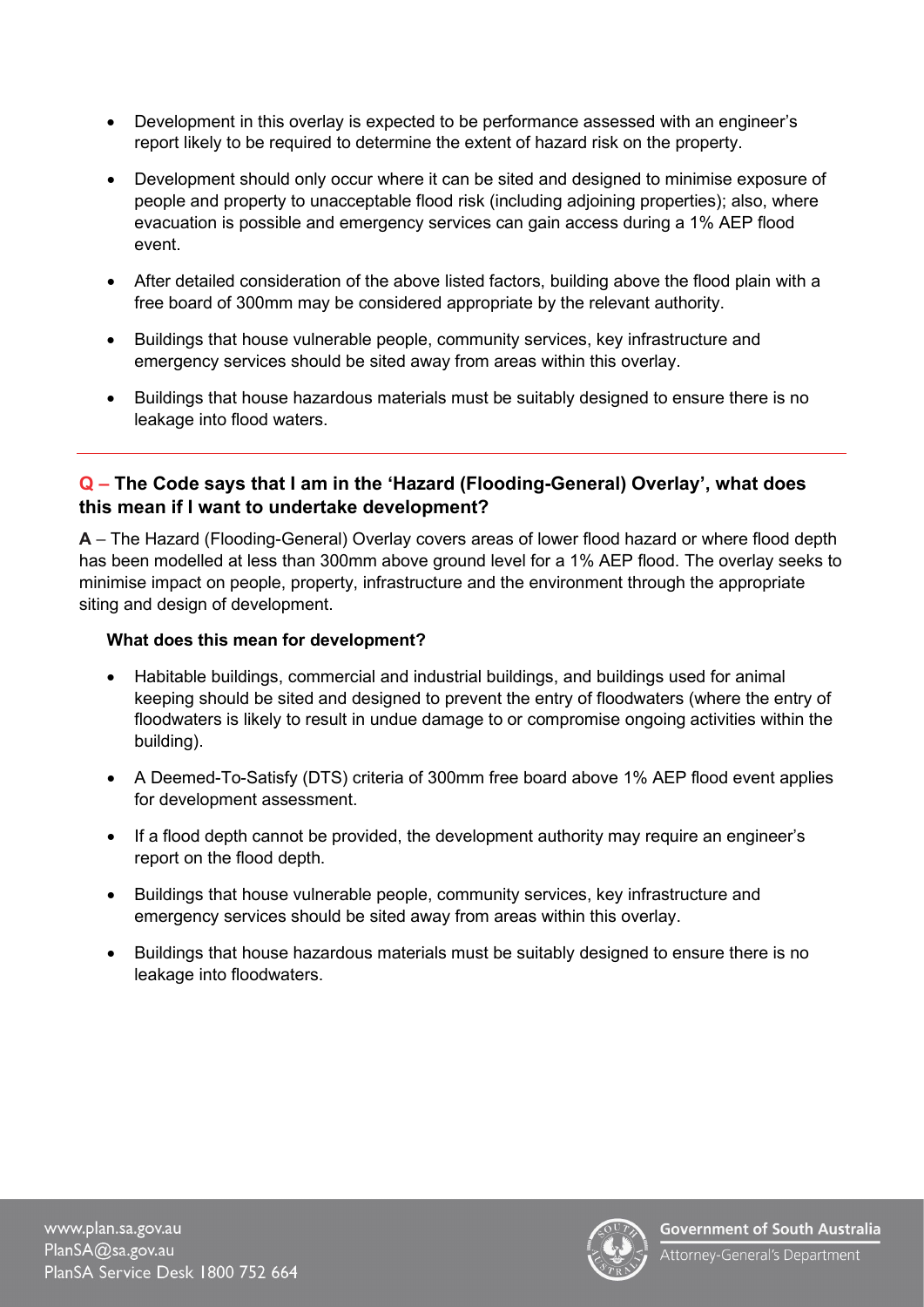- Development in this overlay is expected to be performance assessed with an engineer's report likely to be required to determine the extent of hazard risk on the property.
- Development should only occur where it can be sited and designed to minimise exposure of people and property to unacceptable flood risk (including adjoining properties); also, where evacuation is possible and emergency services can gain access during a 1% AEP flood event.
- After detailed consideration of the above listed factors, building above the flood plain with a free board of 300mm may be considered appropriate by the relevant authority.
- Buildings that house vulnerable people, community services, key infrastructure and emergency services should be sited away from areas within this overlay.
- Buildings that house hazardous materials must be suitably designed to ensure there is no leakage into flood waters.

#### **Q – The Code says that I am in the 'Hazard (Flooding-General) Overlay', what does this mean if I want to undertake development?**

**A** – The Hazard (Flooding-General) Overlay covers areas of lower flood hazard or where flood depth has been modelled at less than 300mm above ground level for a 1% AEP flood. The overlay seeks to minimise impact on people, property, infrastructure and the environment through the appropriate siting and design of development.

#### **What does this mean for development?**

- Habitable buildings, commercial and industrial buildings, and buildings used for animal keeping should be sited and designed to prevent the entry of floodwaters (where the entry of floodwaters is likely to result in undue damage to or compromise ongoing activities within the building).
- A Deemed-To-Satisfy (DTS) criteria of 300mm free board above 1% AEP flood event applies for development assessment.
- If a flood depth cannot be provided, the development authority may require an engineer's report on the flood depth.
- Buildings that house vulnerable people, community services, key infrastructure and emergency services should be sited away from areas within this overlay.
- Buildings that house hazardous materials must be suitably designed to ensure there is no leakage into floodwaters.

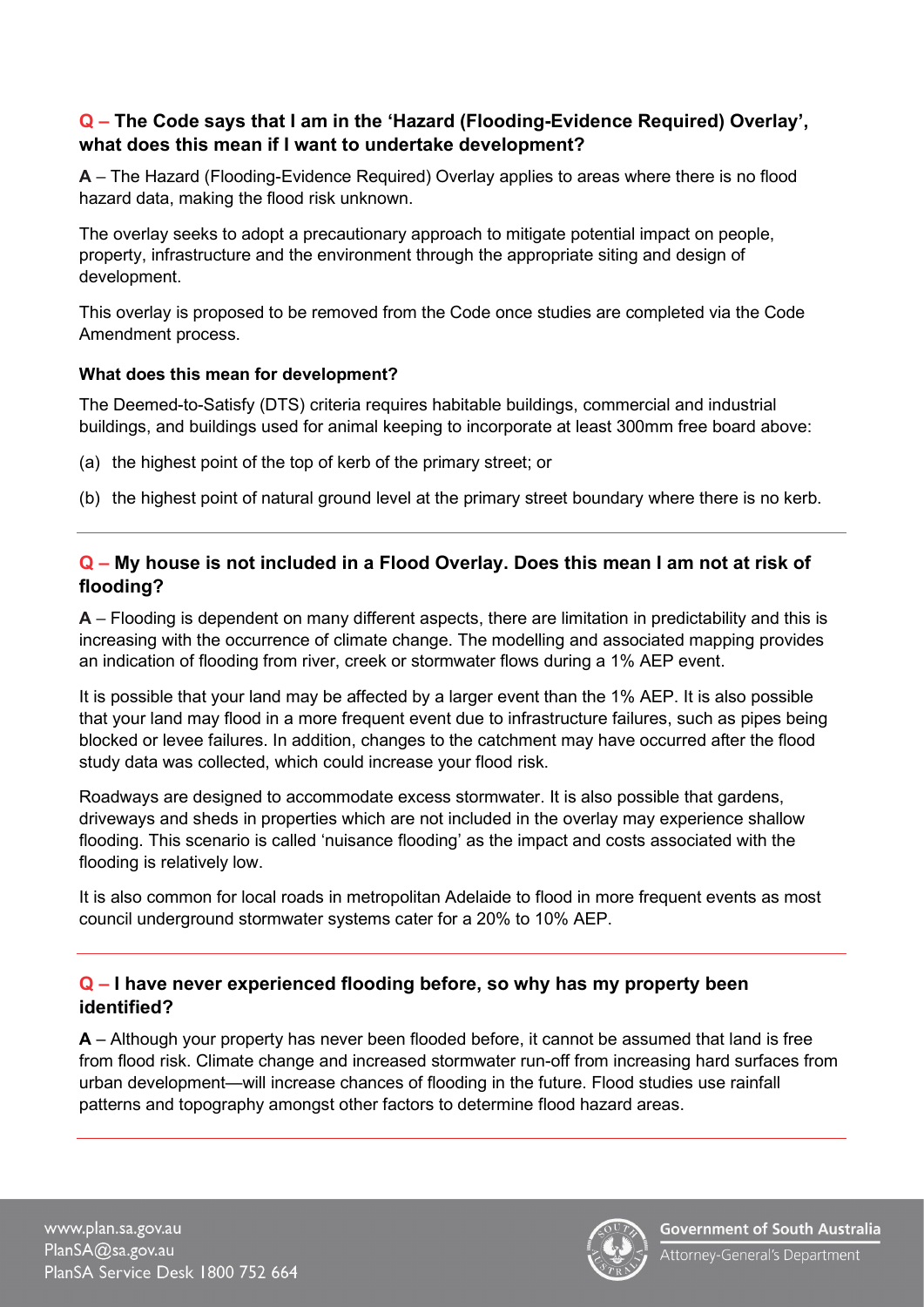#### **Q – The Code says that I am in the 'Hazard (Flooding-Evidence Required) Overlay', what does this mean if I want to undertake development?**

**A** – The Hazard (Flooding-Evidence Required) Overlay applies to areas where there is no flood hazard data, making the flood risk unknown.

The overlay seeks to adopt a precautionary approach to mitigate potential impact on people, property, infrastructure and the environment through the appropriate siting and design of development.

This overlay is proposed to be removed from the Code once studies are completed via the Code Amendment process.

#### **What does this mean for development?**

The Deemed-to-Satisfy (DTS) criteria requires habitable buildings, commercial and industrial buildings, and buildings used for animal keeping to incorporate at least 300mm free board above:

- (a) the highest point of the top of kerb of the primary street; or
- (b) the highest point of natural ground level at the primary street boundary where there is no kerb.

#### **Q – My house is not included in a Flood Overlay. Does this mean I am not at risk of flooding?**

**A** – Flooding is dependent on many different aspects, there are limitation in predictability and this is increasing with the occurrence of climate change. The modelling and associated mapping provides an indication of flooding from river, creek or stormwater flows during a 1% AEP event.

It is possible that your land may be affected by a larger event than the 1% AEP. It is also possible that your land may flood in a more frequent event due to infrastructure failures, such as pipes being blocked or levee failures. In addition, changes to the catchment may have occurred after the flood study data was collected, which could increase your flood risk.

Roadways are designed to accommodate excess stormwater. It is also possible that gardens, driveways and sheds in properties which are not included in the overlay may experience shallow flooding. This scenario is called 'nuisance flooding' as the impact and costs associated with the flooding is relatively low.

It is also common for local roads in metropolitan Adelaide to flood in more frequent events as most council underground stormwater systems cater for a 20% to 10% AEP.

#### **Q – I have never experienced flooding before, so why has my property been identified?**

**A** – Although your property has never been flooded before, it cannot be assumed that land is free from flood risk. Climate change and increased stormwater run-off from increasing hard surfaces from urban development—will increase chances of flooding in the future. Flood studies use rainfall patterns and topography amongst other factors to determine flood hazard areas.

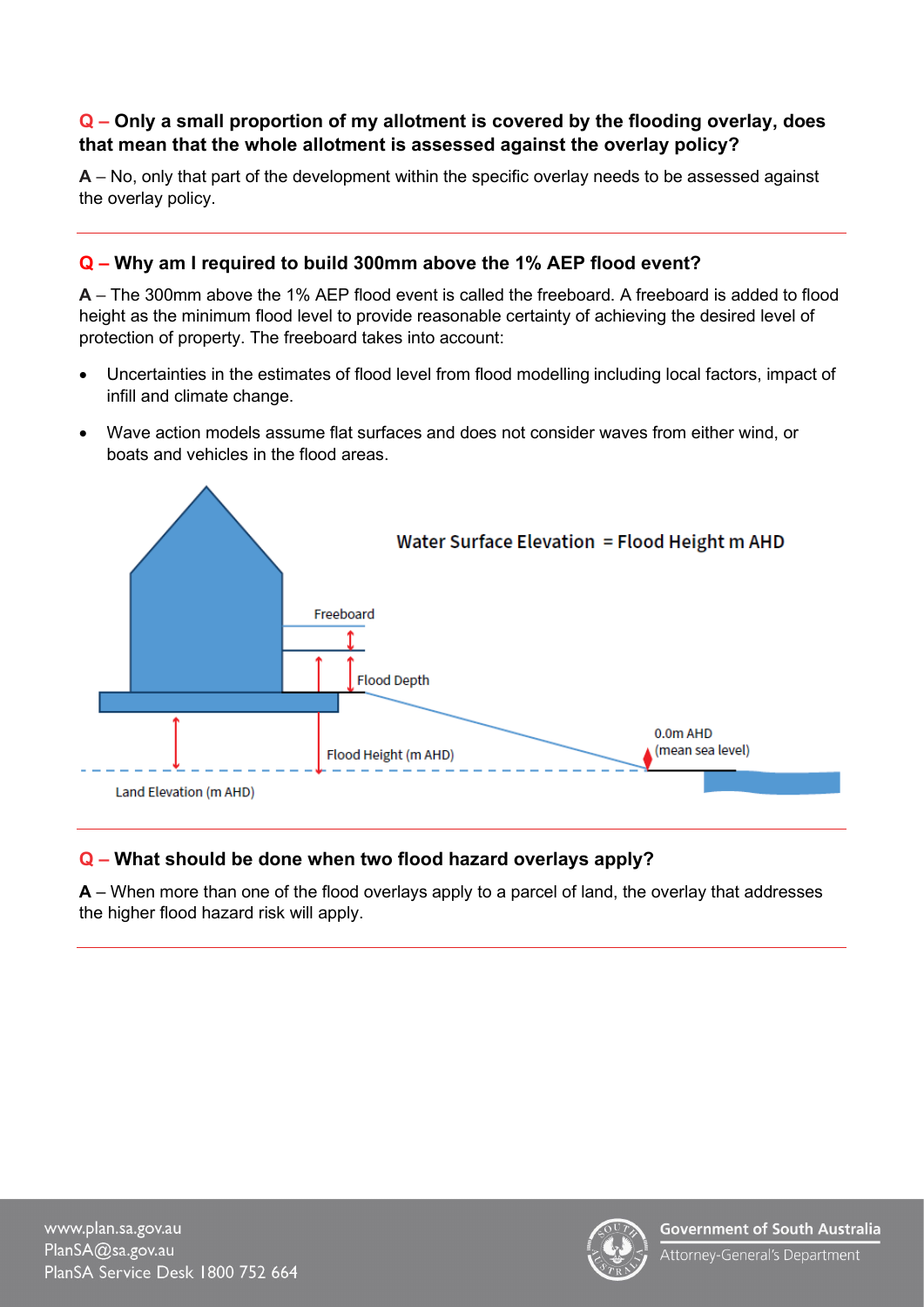#### **Q – Only a small proportion of my allotment is covered by the flooding overlay, does that mean that the whole allotment is assessed against the overlay policy?**

**A** – No, only that part of the development within the specific overlay needs to be assessed against the overlay policy.

#### **Q – Why am I required to build 300mm above the 1% AEP flood event?**

**A** – The 300mm above the 1% AEP flood event is called the freeboard. A freeboard is added to flood height as the minimum flood level to provide reasonable certainty of achieving the desired level of protection of property. The freeboard takes into account:

- Uncertainties in the estimates of flood level from flood modelling including local factors, impact of infill and climate change.
- Wave action models assume flat surfaces and does not consider waves from either wind, or boats and vehicles in the flood areas.



#### **Q – What should be done when two flood hazard overlays apply?**

**A** – When more than one of the flood overlays apply to a parcel of land, the overlay that addresses the higher flood hazard risk will apply.